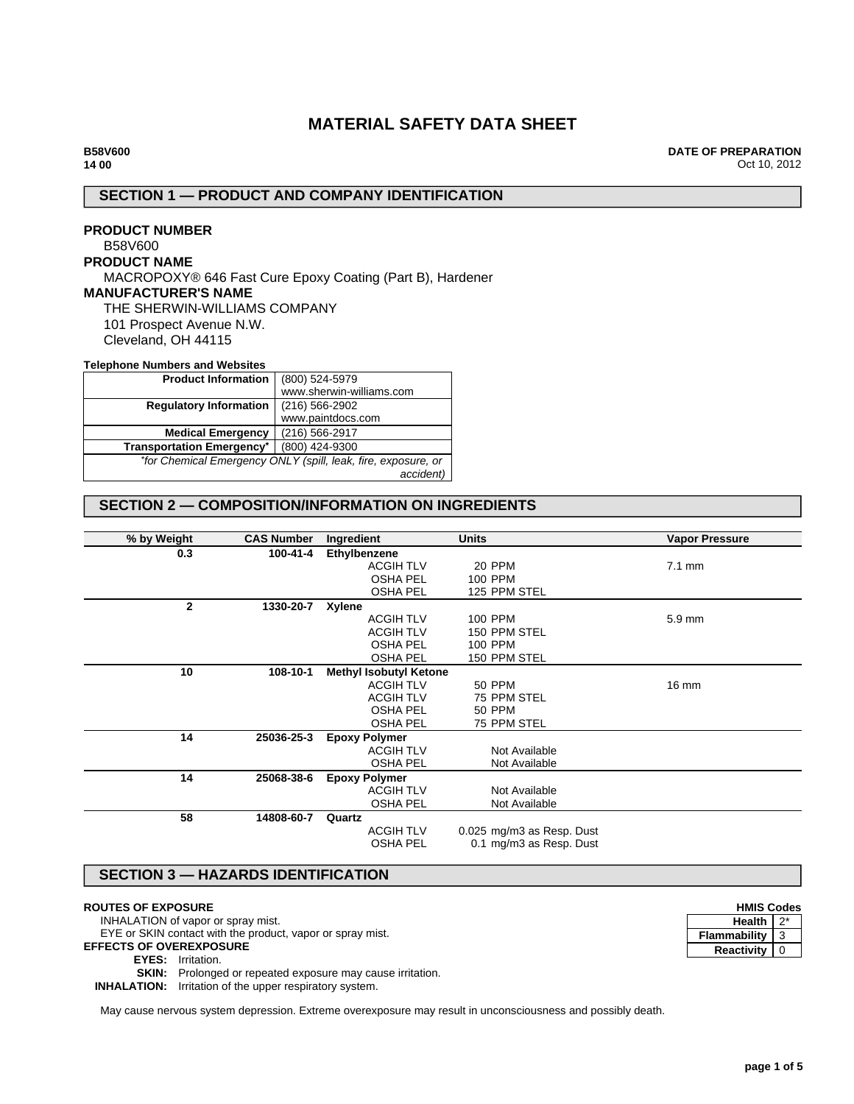# **MATERIAL SAFETY DATA SHEET**

**DATE OF PREPARATION** Oct 10, 2012

## **SECTION 1 — PRODUCT AND COMPANY IDENTIFICATION**

## **PRODUCT NUMBER** B58V600 **PRODUCT NAME** MACROPOXY® 646 Fast Cure Epoxy Coating (Part B), Hardener **MANUFACTURER'S NAME** THE SHERWIN-WILLIAMS COMPANY 101 Prospect Avenue N.W. Cleveland, OH 44115

#### **Telephone Numbers and Websites**

| <b>Product Information</b>       | (800) 524-5979                                                |
|----------------------------------|---------------------------------------------------------------|
|                                  | www.sherwin-williams.com                                      |
| <b>Regulatory Information</b>    | $(216)$ 566-2902                                              |
|                                  | www.paintdocs.com                                             |
| <b>Medical Emergency</b>         | (216) 566-2917                                                |
| <b>Transportation Emergency*</b> | (800) 424-9300                                                |
|                                  | *for Chemical Emergency ONLY (spill, leak, fire, exposure, or |
|                                  | accident)                                                     |

## **SECTION 2 — COMPOSITION/INFORMATION ON INGREDIENTS**

| % by Weight  | <b>CAS Number</b> | Ingredient                    | <b>Units</b>              | <b>Vapor Pressure</b> |
|--------------|-------------------|-------------------------------|---------------------------|-----------------------|
| 0.3          | 100-41-4          | Ethylbenzene                  |                           |                       |
|              |                   | <b>ACGIH TLV</b>              | 20 PPM                    | $7.1 \text{ mm}$      |
|              |                   | <b>OSHA PEL</b>               | 100 PPM                   |                       |
|              |                   | <b>OSHA PEL</b>               | 125 PPM STEL              |                       |
| $\mathbf{2}$ | 1330-20-7         | Xylene                        |                           |                       |
|              |                   | <b>ACGIH TLV</b>              | <b>100 PPM</b>            | 5.9 mm                |
|              |                   | <b>ACGIH TLV</b>              | 150 PPM STEL              |                       |
|              |                   | <b>OSHA PEL</b>               | <b>100 PPM</b>            |                       |
|              |                   | <b>OSHA PEL</b>               | 150 PPM STEL              |                       |
| 10           | 108-10-1          | <b>Methyl Isobutyl Ketone</b> |                           |                       |
|              |                   | <b>ACGIH TLV</b>              | <b>50 PPM</b>             | $16 \text{ mm}$       |
|              |                   | <b>ACGIH TLV</b>              | 75 PPM STEL               |                       |
|              |                   | <b>OSHA PEL</b>               | <b>50 PPM</b>             |                       |
|              |                   | <b>OSHA PEL</b>               | 75 PPM STEL               |                       |
| 14           | 25036-25-3        | <b>Epoxy Polymer</b>          |                           |                       |
|              |                   | <b>ACGIH TLV</b>              | Not Available             |                       |
|              |                   | <b>OSHA PEL</b>               | Not Available             |                       |
| 14           | 25068-38-6        | <b>Epoxy Polymer</b>          |                           |                       |
|              |                   | <b>ACGIH TLV</b>              | Not Available             |                       |
|              |                   | <b>OSHA PEL</b>               | Not Available             |                       |
| 58           | 14808-60-7        | Quartz                        |                           |                       |
|              |                   | <b>ACGIH TLV</b>              | 0.025 mg/m3 as Resp. Dust |                       |
|              |                   | <b>OSHA PEL</b>               | 0.1 mg/m3 as Resp. Dust   |                       |
|              |                   |                               |                           |                       |

# **SECTION 3 — HAZARDS IDENTIFICATION**

#### **ROUTES OF EXPOSURE**

INHALATION of vapor or spray mist.

EYE or SKIN contact with the product, vapor or spray mist.

**EFFECTS OF OVEREXPOSURE**

**EYES:** Irritation.

**SKIN:** Prolonged or repeated exposure may cause irritation.

**INHALATION:** Irritation of the upper respiratory system.

May cause nervous system depression. Extreme overexposure may result in unconsciousness and possibly death.

| <b>HMIS Codes</b> |  |  |
|-------------------|--|--|
| <b>Health</b>     |  |  |
| Flammability      |  |  |
| Reactivity        |  |  |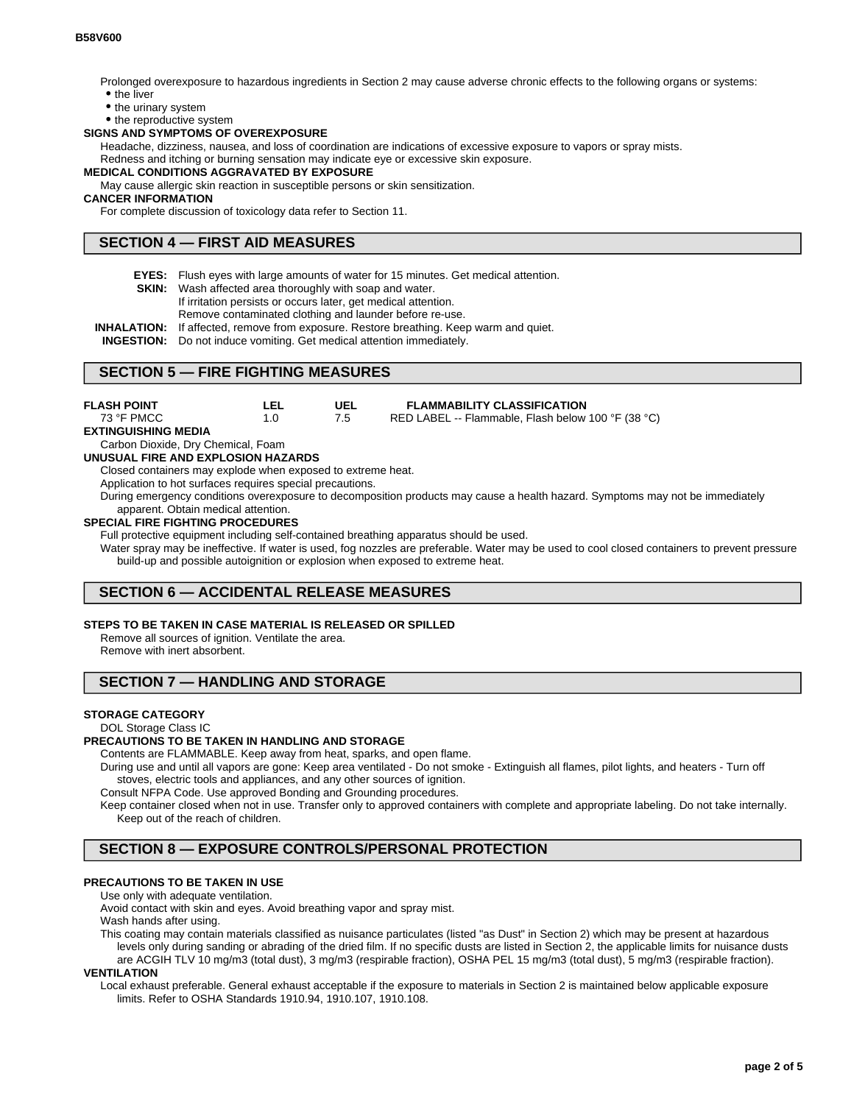Prolonged overexposure to hazardous ingredients in Section 2 may cause adverse chronic effects to the following organs or systems: • the liver

- the urinary system
- the reproductive system

### **SIGNS AND SYMPTOMS OF OVEREXPOSURE**

Headache, dizziness, nausea, and loss of coordination are indications of excessive exposure to vapors or spray mists.

Redness and itching or burning sensation may indicate eye or excessive skin exposure.

#### **MEDICAL CONDITIONS AGGRAVATED BY EXPOSURE**

May cause allergic skin reaction in susceptible persons or skin sensitization.

### **CANCER INFORMATION**

For complete discussion of toxicology data refer to Section 11.

### **SECTION 4 — FIRST AID MEASURES**

**EYES:** Flush eyes with large amounts of water for 15 minutes. Get medical attention.

7.5

- **SKIN:** Wash affected area thoroughly with soap and water.
	- If irritation persists or occurs later, get medical attention.
	- Remove contaminated clothing and launder before re-use.

**INHALATION:** If affected, remove from exposure. Restore breathing. Keep warm and quiet.

**INGESTION:** Do not induce vomiting. Get medical attention immediately.

### **SECTION 5 — FIRE FIGHTING MEASURES**

| FLASH POINT |  | <b>FLAMMABILITY CLASSIFICATION</b> |
|-------------|--|------------------------------------|

RED LABEL -- Flammable, Flash below 100 °F (38 °C)

**EXTINGUISHING MEDIA**

73 °F PMCC

Carbon Dioxide, Dry Chemical, Foam

#### **UNUSUAL FIRE AND EXPLOSION HAZARDS**

Closed containers may explode when exposed to extreme heat.

1.0

Application to hot surfaces requires special precautions.

During emergency conditions overexposure to decomposition products may cause a health hazard. Symptoms may not be immediately apparent. Obtain medical attention.

### **SPECIAL FIRE FIGHTING PROCEDURES**

Full protective equipment including self-contained breathing apparatus should be used.

Water spray may be ineffective. If water is used, fog nozzles are preferable. Water may be used to cool closed containers to prevent pressure build-up and possible autoignition or explosion when exposed to extreme heat.

## **SECTION 6 — ACCIDENTAL RELEASE MEASURES**

### **STEPS TO BE TAKEN IN CASE MATERIAL IS RELEASED OR SPILLED**

Remove all sources of ignition. Ventilate the area.

Remove with inert absorbent.

## **SECTION 7 — HANDLING AND STORAGE**

### **STORAGE CATEGORY**

#### DOL Storage Class IC

### **PRECAUTIONS TO BE TAKEN IN HANDLING AND STORAGE**

Contents are FLAMMABLE. Keep away from heat, sparks, and open flame.

During use and until all vapors are gone: Keep area ventilated - Do not smoke - Extinguish all flames, pilot lights, and heaters - Turn off stoves, electric tools and appliances, and any other sources of ignition.

Consult NFPA Code. Use approved Bonding and Grounding procedures.

Keep container closed when not in use. Transfer only to approved containers with complete and appropriate labeling. Do not take internally. Keep out of the reach of children.

## **SECTION 8 — EXPOSURE CONTROLS/PERSONAL PROTECTION**

### **PRECAUTIONS TO BE TAKEN IN USE**

#### Use only with adequate ventilation.

Avoid contact with skin and eyes. Avoid breathing vapor and spray mist.

Wash hands after using.

This coating may contain materials classified as nuisance particulates (listed "as Dust" in Section 2) which may be present at hazardous levels only during sanding or abrading of the dried film. If no specific dusts are listed in Section 2, the applicable limits for nuisance dusts are ACGIH TLV 10 mg/m3 (total dust), 3 mg/m3 (respirable fraction), OSHA PEL 15 mg/m3 (total dust), 5 mg/m3 (respirable fraction).

### **VENTILATION**

Local exhaust preferable. General exhaust acceptable if the exposure to materials in Section 2 is maintained below applicable exposure limits. Refer to OSHA Standards 1910.94, 1910.107, 1910.108.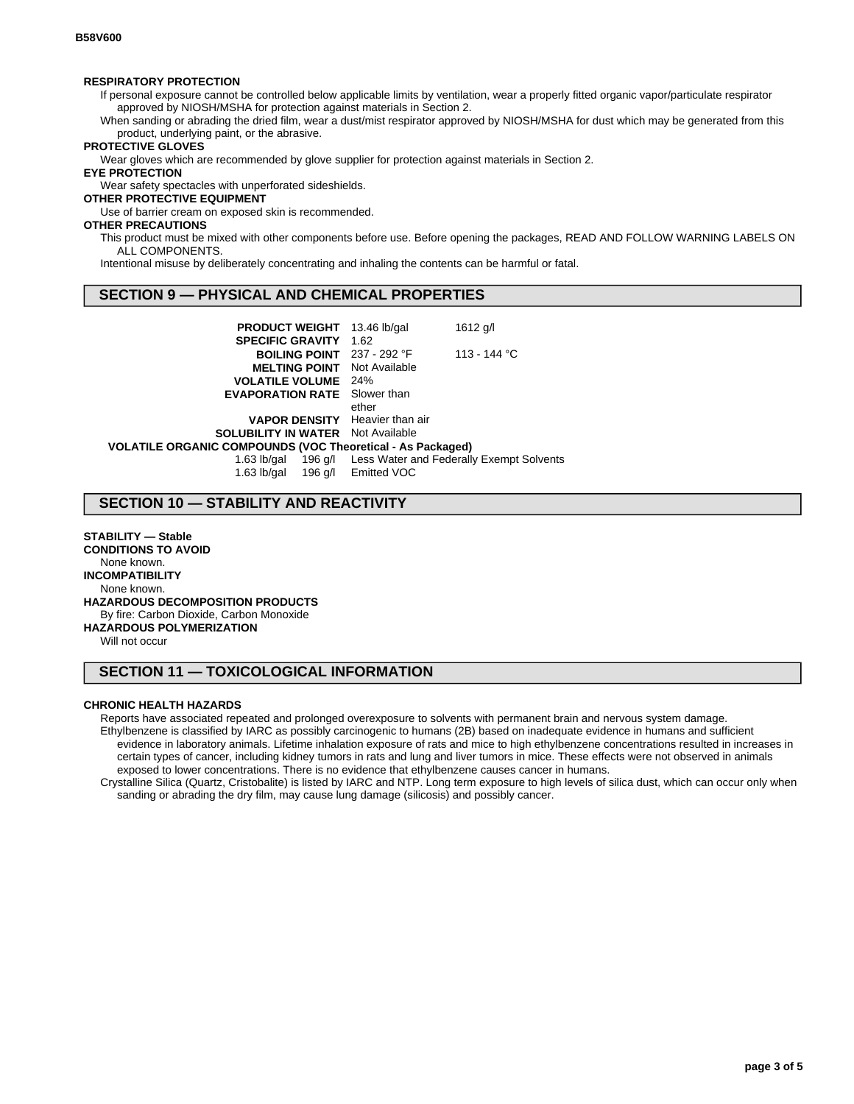#### **RESPIRATORY PROTECTION**

If personal exposure cannot be controlled below applicable limits by ventilation, wear a properly fitted organic vapor/particulate respirator approved by NIOSH/MSHA for protection against materials in Section 2.

When sanding or abrading the dried film, wear a dust/mist respirator approved by NIOSH/MSHA for dust which may be generated from this product, underlying paint, or the abrasive.

### **PROTECTIVE GLOVES**

Wear gloves which are recommended by glove supplier for protection against materials in Section 2.

### **EYE PROTECTION**

Wear safety spectacles with unperforated sideshields.

### **OTHER PROTECTIVE EQUIPMENT**

Use of barrier cream on exposed skin is recommended.

### **OTHER PRECAUTIONS**

This product must be mixed with other components before use. Before opening the packages, READ AND FOLLOW WARNING LABELS ON ALL COMPONENTS.

Intentional misuse by deliberately concentrating and inhaling the contents can be harmful or fatal.

## **SECTION 9 — PHYSICAL AND CHEMICAL PROPERTIES**

| <b>PRODUCT WEIGHT</b> 13.46 lb/gal                         |       | 1612 g/l                                                     |  |  |
|------------------------------------------------------------|-------|--------------------------------------------------------------|--|--|
| <b>SPECIFIC GRAVITY 1.62</b>                               |       |                                                              |  |  |
| <b>BOILING POINT</b> 237 - 292 °F                          |       | 113 - 144 °C                                                 |  |  |
| <b>MELTING POINT</b> Not Available                         |       |                                                              |  |  |
| <b>VOLATILE VOLUME</b> 24%                                 |       |                                                              |  |  |
| <b>EVAPORATION RATE</b> Slower than                        |       |                                                              |  |  |
|                                                            | ether |                                                              |  |  |
| <b>VAPOR DENSITY</b> Heavier than air                      |       |                                                              |  |  |
| <b>SOLUBILITY IN WATER</b> Not Available                   |       |                                                              |  |  |
| VOLATILE ORGANIC COMPOUNDS (VOC Theoretical - As Packaged) |       |                                                              |  |  |
|                                                            |       | 1.63 lb/gal 196 g/l Less Water and Federally Exempt Solvents |  |  |
| 1.63 lb/gal 196 g/l Emitted VOC                            |       |                                                              |  |  |
|                                                            |       |                                                              |  |  |

## **SECTION 10 — STABILITY AND REACTIVITY**

**STABILITY — Stable CONDITIONS TO AVOID** None known. **INCOMPATIBILITY** None known. **HAZARDOUS DECOMPOSITION PRODUCTS** By fire: Carbon Dioxide, Carbon Monoxide **HAZARDOUS POLYMERIZATION** Will not occur

## **SECTION 11 — TOXICOLOGICAL INFORMATION**

#### **CHRONIC HEALTH HAZARDS**

Reports have associated repeated and prolonged overexposure to solvents with permanent brain and nervous system damage. Ethylbenzene is classified by IARC as possibly carcinogenic to humans (2B) based on inadequate evidence in humans and sufficient evidence in laboratory animals. Lifetime inhalation exposure of rats and mice to high ethylbenzene concentrations resulted in increases in certain types of cancer, including kidney tumors in rats and lung and liver tumors in mice. These effects were not observed in animals exposed to lower concentrations. There is no evidence that ethylbenzene causes cancer in humans.

Crystalline Silica (Quartz, Cristobalite) is listed by IARC and NTP. Long term exposure to high levels of silica dust, which can occur only when sanding or abrading the dry film, may cause lung damage (silicosis) and possibly cancer.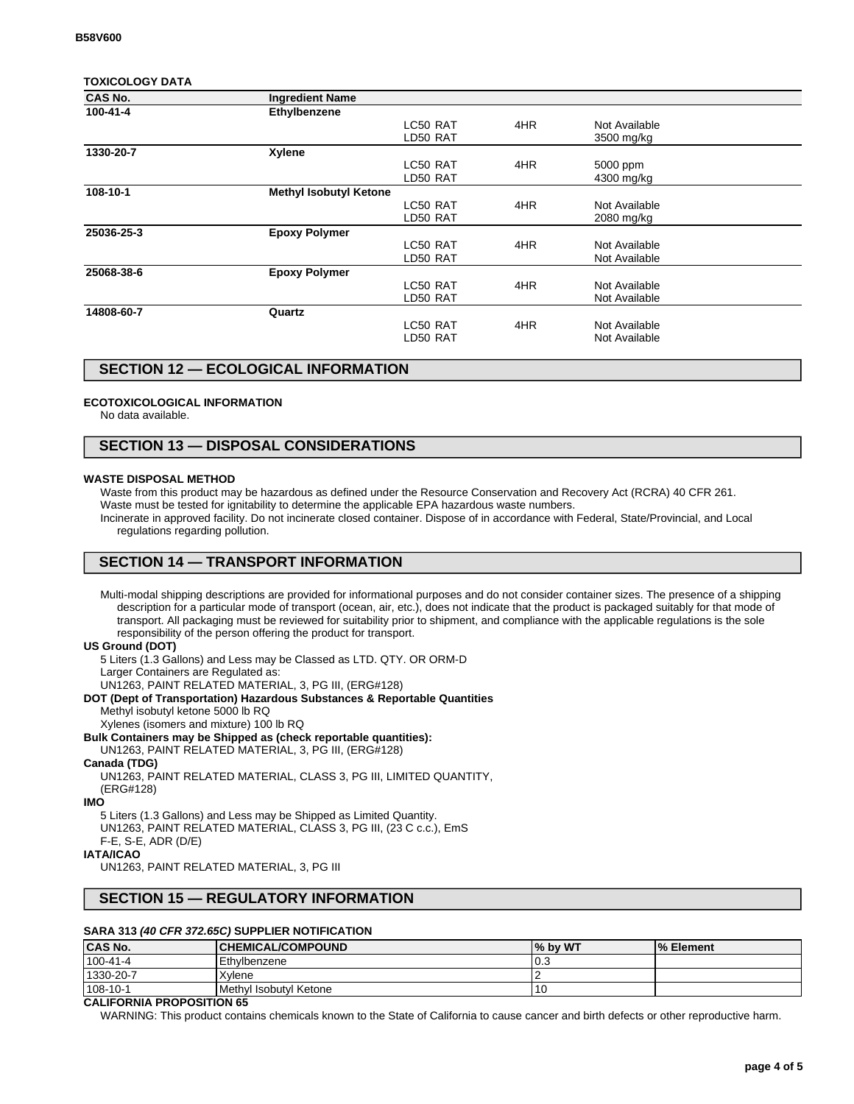### **TOXICOLOGY DATA**

| <b>CAS No.</b> | <b>Ingredient Name</b>        |          |     |               |  |
|----------------|-------------------------------|----------|-----|---------------|--|
| 100-41-4       | Ethylbenzene                  |          |     |               |  |
|                |                               | LC50 RAT | 4HR | Not Available |  |
|                |                               | LD50 RAT |     | 3500 mg/kg    |  |
| 1330-20-7      | Xylene                        |          |     |               |  |
|                |                               | LC50 RAT | 4HR | 5000 ppm      |  |
|                |                               | LD50 RAT |     | 4300 mg/kg    |  |
| 108-10-1       | <b>Methyl Isobutyl Ketone</b> |          |     |               |  |
|                |                               | LC50 RAT | 4HR | Not Available |  |
|                |                               | LD50 RAT |     | 2080 mg/kg    |  |
| 25036-25-3     | <b>Epoxy Polymer</b>          |          |     |               |  |
|                |                               | LC50 RAT | 4HR | Not Available |  |
|                |                               | LD50 RAT |     | Not Available |  |
| 25068-38-6     | <b>Epoxy Polymer</b>          |          |     |               |  |
|                |                               | LC50 RAT | 4HR | Not Available |  |
|                |                               | LD50 RAT |     | Not Available |  |
| 14808-60-7     | Quartz                        |          |     |               |  |
|                |                               | LC50 RAT | 4HR | Not Available |  |
|                |                               | LD50 RAT |     | Not Available |  |
|                |                               |          |     |               |  |

## **SECTION 12 — ECOLOGICAL INFORMATION**

### **ECOTOXICOLOGICAL INFORMATION**

No data available.

## **SECTION 13 — DISPOSAL CONSIDERATIONS**

#### **WASTE DISPOSAL METHOD**

Waste from this product may be hazardous as defined under the Resource Conservation and Recovery Act (RCRA) 40 CFR 261.

Waste must be tested for ignitability to determine the applicable EPA hazardous waste numbers.

Incinerate in approved facility. Do not incinerate closed container. Dispose of in accordance with Federal, State/Provincial, and Local regulations regarding pollution.

## **SECTION 14 — TRANSPORT INFORMATION**

Multi-modal shipping descriptions are provided for informational purposes and do not consider container sizes. The presence of a shipping description for a particular mode of transport (ocean, air, etc.), does not indicate that the product is packaged suitably for that mode of transport. All packaging must be reviewed for suitability prior to shipment, and compliance with the applicable regulations is the sole responsibility of the person offering the product for transport.

#### **US Ground (DOT)**

5 Liters (1.3 Gallons) and Less may be Classed as LTD. QTY. OR ORM-D Larger Containers are Regulated as:

UN1263, PAINT RELATED MATERIAL, 3, PG III, (ERG#128)

#### **DOT (Dept of Transportation) Hazardous Substances & Reportable Quantities**

- Methyl isobutyl ketone 5000 lb RQ
- Xylenes (isomers and mixture) 100 lb RQ

#### **Bulk Containers may be Shipped as (check reportable quantities):**

UN1263, PAINT RELATED MATERIAL, 3, PG III, (ERG#128)

#### **Canada (TDG)**

UN1263, PAINT RELATED MATERIAL, CLASS 3, PG III, LIMITED QUANTITY, (ERG#128)

### **IMO**

5 Liters (1.3 Gallons) and Less may be Shipped as Limited Quantity. UN1263, PAINT RELATED MATERIAL, CLASS 3, PG III, (23 C c.c.), EmS F-E, S-E, ADR (D/E)

### **IATA/ICAO**

UN1263, PAINT RELATED MATERIAL, 3, PG III

### **SECTION 15 — REGULATORY INFORMATION**

### **SARA 313 (40 CFR 372.65C) SUPPLIER NOTIFICATION**

| <b>CAS No.</b> | <b> CHEMICAL/COMPOUND</b> | % by WT | <b>I</b> % Element |
|----------------|---------------------------|---------|--------------------|
| 100-41-4       | Ethylbenzene              | 0.3     |                    |
| 1330-20-7      | Xvlene                    |         |                    |
| 108-10-1       | Methyl Isobutyl Ketone    |         |                    |

### **CALIFORNIA PROPOSITION 65**

WARNING: This product contains chemicals known to the State of California to cause cancer and birth defects or other reproductive harm.